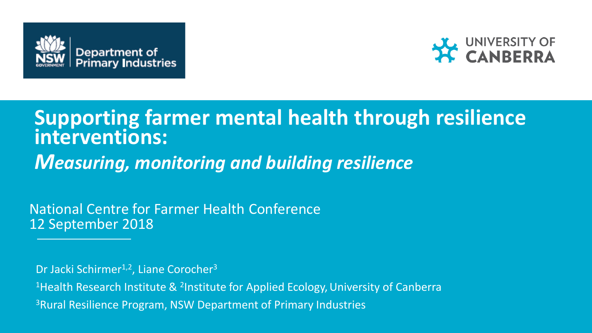



# **Supporting farmer mental health through resilience interventions:** *Measuring, monitoring and building resilience*

National Centre for Farmer Health Conference 12 September 2018

Dr Jacki Schirmer<sup>1,2</sup>, Liane Corocher<sup>3</sup>

<sup>1</sup> Health Research Institute & <sup>2</sup>Institute for Applied Ecology, University of Canberra 3Rural Resilience Program, NSW Department of Primary Industries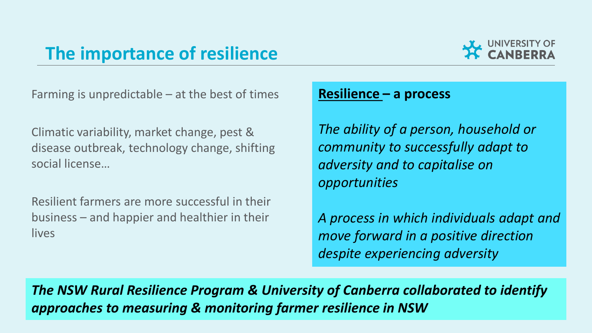## **The importance of resilience**



Farming is unpredictable – at the best of times

Climatic variability, market change, pest & disease outbreak, technology change, shifting social license…

Resilient farmers are more successful in their business – and happier and healthier in their lives

### **Resilience – a process**

*The ability of a person, household or community to successfully adapt to adversity and to capitalise on opportunities*

*A process in which individuals adapt and move forward in a positive direction despite experiencing adversity*

*The NSW Rural Resilience Program & University of Canberra collaborated to identify approaches to measuring & monitoring farmer resilience in NSW*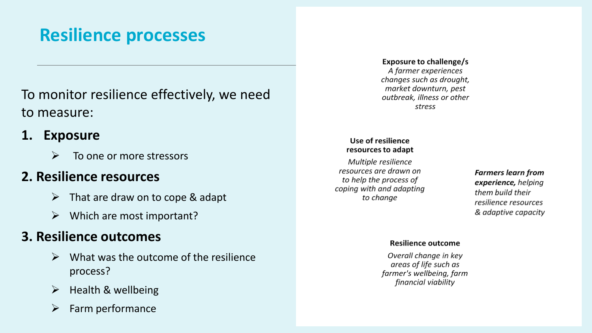## **Resilience processes**

## To monitor resilience effectively, we need to measure:

### **1. Exposure**

To one or more stressors

## **2. Resilience resources**

- $\triangleright$  That are draw on to cope & adapt
- $\triangleright$  Which are most important?

## **3. Resilience outcomes**

- $\triangleright$  What was the outcome of the resilience process?
- Health & wellbeing
- Farm performance

#### **Exposure to challenge/s**

A farmer experiences changes such as drought, market downturn, pest outbreak, illness or other stress

#### Use of resilience resources to adapt

Multiple resilience resources are drawn on to help the process of coping with and adapting to change

**Farmers learn from** experience, helping them build their resilience resources & adaptive capacity

#### **Resilience outcome**

Overall change in key areas of life such as farmer's wellbeing, farm financial viability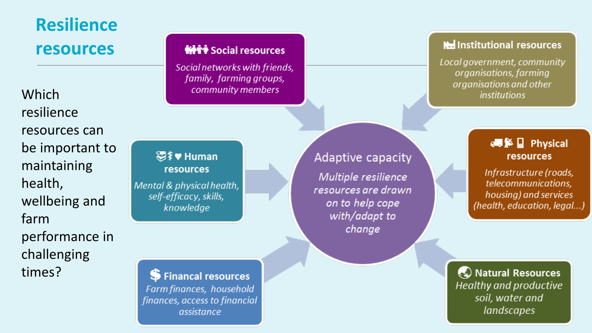# **Resilience resources**

**Which** resilience resources can be important to maintaining health, wellbeing and farm performance in challenging times?

### ₩₩

Social networks with friends, family, farming groups, community members

湿≸♥ Human resources

Mental & physical health, self-efficacy, skills, knowledge

S Financal resources Farm finances, household finances, access to financial assistance

## Adaptive capacity

Multiple resilience resources are drawn on to help cope with/adapt to change

#### He Institutional resources

Local government, community organisations, farming organisations and other *institutions* 

### resources

Infrastructure (roads, telecommunications, housing) and services (health, education, legal...)

♦ Natural Resources Healthy and productive soil, water and *landscapes*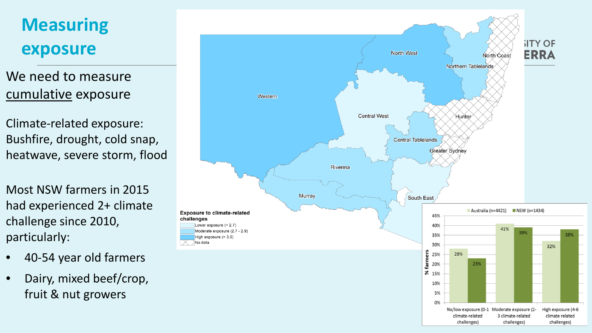# **Measuring exposure**

We need to measure cumulative exposure

Climate-related exposure: Bushfire, drought, cold snap, heatwave, severe storm, flood

Most NSW farmers in 2015 had experienced 2+ climate challenge since 2010, particularly:

- 40-54 year old farmers
- Dairy, mixed beef/crop, fruit & nut growers

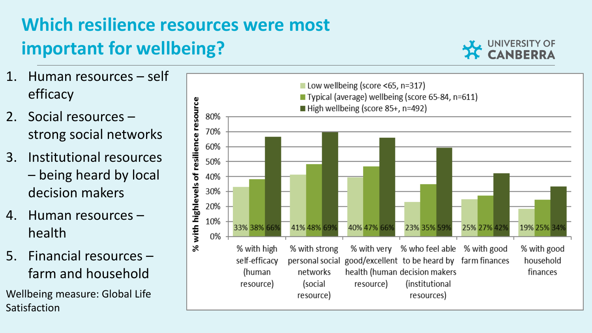# **Which resilience resources were most important for wellbeing?**



- 1. Human resources self efficacy
- 2. Social resources strong social networks
- 3. Institutional resources – being heard by local decision makers
- 4. Human resources health
- 5. Financial resources farm and household

Wellbeing measure: Global Life Satisfaction

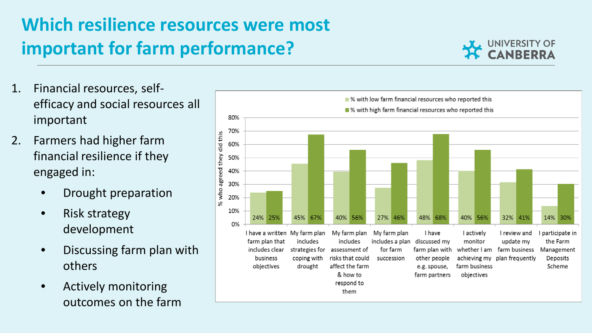# **Which resilience resources were most important for farm performance?**



- 1. Financial resources, selfefficacy and social resources all important
- 2. Farmers had higher farm financial resilience if they engaged in:
	- Drought preparation
	- Risk strategy development
	- Discussing farm plan with others
	- Actively monitoring outcomes on the farm

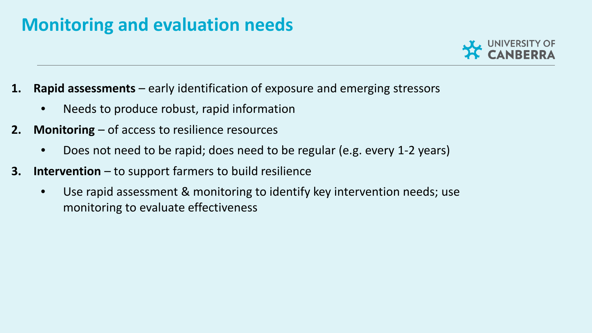## **Monitoring and evaluation needs**



- **1. Rapid assessments**  early identification of exposure and emerging stressors
	- Needs to produce robust, rapid information
- **2. Monitoring**  of access to resilience resources
	- Does not need to be rapid; does need to be regular (e.g. every 1-2 years)
- **3. Intervention** to support farmers to build resilience
	- Use rapid assessment & monitoring to identify key intervention needs; use monitoring to evaluate effectiveness